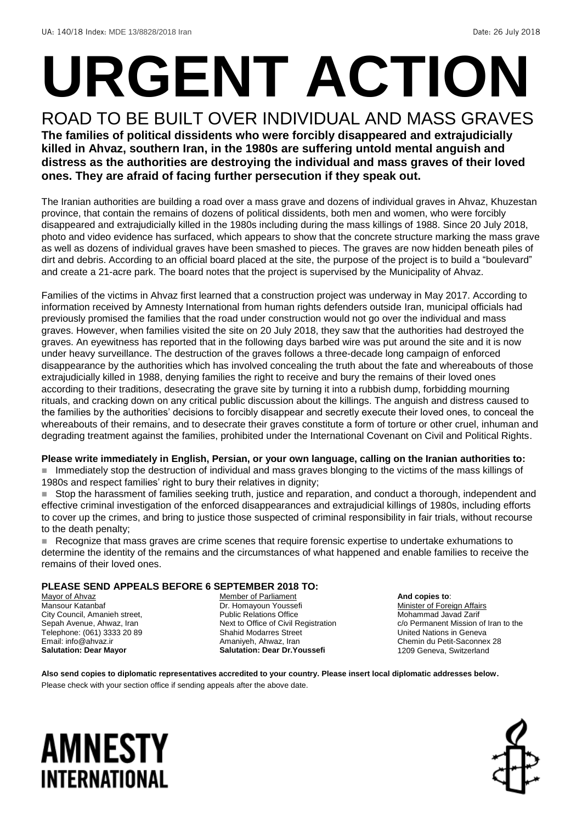# **URGENT ACTION**

ROAD TO BE BUILT OVER INDIVIDUAL AND MASS GRAVES **The families of political dissidents who were forcibly disappeared and extrajudicially killed in Ahvaz, southern Iran, in the 1980s are suffering untold mental anguish and distress as the authorities are destroying the individual and mass graves of their loved ones. They are afraid of facing further persecution if they speak out.**

The Iranian authorities are building a road over a mass grave and dozens of individual graves in Ahvaz, Khuzestan province, that contain the remains of dozens of political dissidents, both men and women, who were forcibly disappeared and extrajudicially killed in the 1980s including during the mass killings of 1988. Since 20 July 2018, photo and video evidence has surfaced, which appears to show that the concrete structure marking the mass grave as well as dozens of individual graves have been smashed to pieces. The graves are now hidden beneath piles of dirt and debris. According to an official board placed at the site, the purpose of the project is to build a "boulevard" and create a 21-acre park. The board notes that the project is supervised by the Municipality of Ahvaz.

Families of the victims in Ahvaz first learned that a construction project was underway in May 2017. According to information received by Amnesty International from human rights defenders outside Iran, municipal officials had previously promised the families that the road under construction would not go over the individual and mass graves. However, when families visited the site on 20 July 2018, they saw that the authorities had destroyed the graves. An eyewitness has reported that in the following days barbed wire was put around the site and it is now under heavy surveillance. The destruction of the graves follows a three-decade long campaign of enforced disappearance by the authorities which has involved concealing the truth about the fate and whereabouts of those extrajudicially killed in 1988, denying families the right to receive and bury the remains of their loved ones according to their traditions, desecrating the grave site by turning it into a rubbish dump, forbidding mourning rituals, and cracking down on any critical public discussion about the killings. The anguish and distress caused to the families by the authorities' decisions to forcibly disappear and secretly execute their loved ones, to conceal the whereabouts of their remains, and to desecrate their graves constitute a form of torture or other cruel, inhuman and degrading treatment against the families, prohibited under the International Covenant on Civil and Political Rights.

### **Please write immediately in English, Persian, or your own language, calling on the Iranian authorities to:**

 Immediately stop the destruction of individual and mass graves blonging to the victims of the mass killings of 1980s and respect families' right to bury their relatives in dignity;

 Stop the harassment of families seeking truth, justice and reparation, and conduct a thorough, independent and effective criminal investigation of the enforced disappearances and extrajudicial killings of 1980s, including efforts to cover up the crimes, and bring to justice those suspected of criminal responsibility in fair trials, without recourse to the death penalty;

 Recognize that mass graves are crime scenes that require forensic expertise to undertake exhumations to determine the identity of the remains and the circumstances of what happened and enable families to receive the remains of their loved ones.

### **PLEASE SEND APPEALS BEFORE 6 SEPTEMBER 2018 TO:**

Mayor of Ahvaz Mansour Katanbaf City Council, Amanieh street, Sepah Avenue, Ahwaz, Iran Telephone: (061) 3333 20 89 Email: info@ahvaz.ir **Salutation: Dear Mayor**

Member of Parliament Dr. Homayoun Youssefi Public Relations Office Next to Office of Civil Registration Shahid Modarres Street Amaniyeh, Ahwaz, Iran **Salutation: Dear Dr.Youssefi**

**And copies to**: Minister of Foreign Affairs Mohammad Javad Zarif c/o Permanent Mission of Iran to the United Nations in Geneva Chemin du Petit-Saconnex 28 1209 Geneva, Switzerland

**Also send copies to diplomatic representatives accredited to your country. Please insert local diplomatic addresses below.** Please check with your section office if sending appeals after the above date.